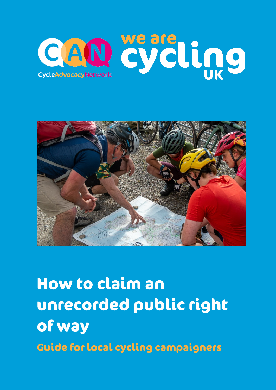



How to claim an unrecorded public right of way **Guide for local cycling campaigners**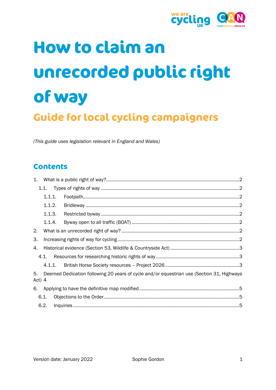

# **How to claim an unrecorded public right of way**

# Guide for local cycling campaigners

*(This guide uses legislation relevant in England and Wales)*

## **Contents**

|              | 1.1.1. |  |                                                                                           |  |
|--------------|--------|--|-------------------------------------------------------------------------------------------|--|
|              | 1.1.2. |  |                                                                                           |  |
|              | 1.1.3. |  |                                                                                           |  |
|              | 1.1.4. |  |                                                                                           |  |
| 2.           |        |  |                                                                                           |  |
| 3.           |        |  |                                                                                           |  |
| 4.           |        |  |                                                                                           |  |
|              |        |  |                                                                                           |  |
|              |        |  |                                                                                           |  |
| 5.<br>Act) 4 |        |  | Deemed Dedication following 20 years of cycle and/or equestrian use (Section 31, Highways |  |
| 6.           |        |  |                                                                                           |  |
|              | 6.1.   |  |                                                                                           |  |
|              | 6.2.   |  |                                                                                           |  |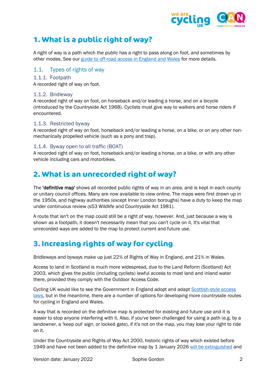

## <span id="page-2-0"></span>**1. What is a public right of way?**

A right of way is a path which the public has a right to pass along on foot, and sometimes by other modes. See ou[r guide to off-road access in England and Wales](https://www.cyclinguk.org/article/cycling-guide/where-can-i-cycle-off-road) for more details.

#### <span id="page-2-1"></span>1.1. Types of rights of way

#### <span id="page-2-2"></span>1.1.1. Footpath

A recorded right of way on foot.

#### <span id="page-2-3"></span>1.1.2. Bridleway

A recorded right of way on foot, on horseback and/or leading a horse, and on a bicycle (introduced by the Countryside Act 1968). Cyclists must give way to walkers and horse riders if encountered.

#### <span id="page-2-4"></span>1.1.3. Restricted byway

A recorded right of way on foot, horseback and/or leading a horse, on a bike, or on any other nonmechanically propelled vehicle (such as a pony and trap).

#### <span id="page-2-5"></span>1.1.4. Byway open to all traffic (BOAT)

A recorded right of way on foot, horseback and/or leading a horse, on a bike, or with any other vehicle including cars and motorbikes.

## <span id="page-2-6"></span>**2. What is an unrecorded right of way?**

The 'definitive map' shows all recorded public rights of way in an area, and is kept in each county or unitary council offices. Many are now available to view online. The maps were first drawn up in the 1950s, and highway authorities (except Inner London boroughs) have a duty to keep the map under continuous review (s53 Wildlife and Countryside Act 1981).

A route that isn't on the map could still be a right of way, however. And, just because a way is shown as a footpath, it doesn't necessarily mean that you can't cycle on it. It's vital that unrecorded ways are added to the map to protect current and future use.

# <span id="page-2-7"></span>**3. Increasing rights of way for cycling**

Bridleways and byways make up just 22% of Rights of Way in England, and 21% in Wales.

Access to land in Scotland is much more widespread, due to the Land Reform (Scotland) Act 2003, which gives the public (including cyclists) lawful access to most land and inland water there, provided they comply with the Outdoor Access Code.

Cycling UK would like to see the Government in England adopt and adapt Scottish-style access [laws,](https://www.cyclinguk.org/campaigning/views-and-briefings/scotlands-land-reform-act-2003-and-outdoor-access-code) but in the meantime, there are a number of options for developing more countryside routes for cycling in England and Wales.

A way that is recorded on the definitive map is protected for existing and future use and it is easier to stop anyone interfering with it. Also, if you've been challenged for using a path (e.g. by a landowner, a 'keep out' sign, or locked gate), if it's not on the map, you may lose your right to ride on it.

Under the Countryside and Rights of Way Act 2000, historic rights of way which existed before 1949 and have not been added to the definitive map by 1 January 2026 [will be extinguished](https://www.cyclinguk.org/2026) and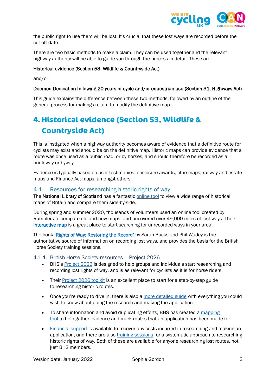

the public right to use them will be lost. It's crucial that these lost ways are recorded before the cut-off date.

There are two basic methods to make a claim. They can be used together and the relevant highway authority will be able to guide you through the process in detail. These are:

#### Historical evidence (Section 53, Wildlife & Countryside Act)

and/or

#### Deemed Dedication following 20 years of cycle and/or equestrian use (Section 31, Highways Act)

This guide explains the difference between these two methods, followed by an outline of the general process for making a claim to modify the definitive map.

# <span id="page-3-0"></span>**4. Historical evidence (Section 53, Wildlife & Countryside Act)**

This is instigated when a highway authority becomes aware of evidence that a definitive route for cyclists may exist and should be on the definitive map. Historic maps can provide evidence that a route was once used as a public road, or by horses, and should therefore be recorded as a bridleway or byway.

Evidence is typically based on user testimonies, enclosure awards, tithe maps, railway and estate maps and Finance Act maps, amongst others.

#### <span id="page-3-1"></span>4.1. Resources for researching historic rights of way

The National Library of Scotland has a fantastic [online tool](https://maps.nls.uk/geo/explore/side-by-side/#zoom=5&lat=56.19850&lon=-1.92889&layers=1&right=BingHyb) to view a wide range of historical maps of Britain and compare them side-by-side.

During spring and summer 2020, thousands of volunteers used an online tool created by Ramblers to compare old and new maps, and uncovered over 49,000 miles of lost ways. Their [interactive map](https://www.ramblers.org.uk/get-involved/campaign-with-us/dont-lose-your-way-2026.aspx) is a great place to start searching for unrecorded ways in your area.

The book ['Rights of Way: Restoring the Record'](http://www.restoringtherecord.org.uk/) by Sarah Bucks and Phil Wadey is the authoritative source of information on recording lost ways, and provides the basis for the British Horse Society training sessions.

#### <span id="page-3-2"></span>4.1.1. British Horse Society resources – Project 2026

- BHS's [Project 2026](https://www.bhs.org.uk/our-work/access/campaigns/2026) is designed to help groups and individuals start researching and recording lost rights of way, and is as relevant for cyclists as it is for horse riders.
- Their [Project 2026 toolkit](https://www.bhs.org.uk/our-work/access/campaigns/2026/2026-toolkit) is an excellent place to start for a step-by-step guide to researching historic routes.
- Once you're ready to dive in, there is also a [more detailed guide](https://www.bhs.org.uk/~/media/documents/access/access-leaflets/researching-moa.ashx?la=en) with everything you could wish to know about doing the research and making the application.
- To share information and avoid duplicating efforts, BHS has created a mapping [tool](https://www.bhsaccess.org.uk/dobbin/Project2026.php) to help gather evidence and mark routes that an application has been made for.
- [Financial support](https://www.bhs.org.uk/our-work/access/campaigns/2026/financial-support-dmmo) is available to recover any costs incurred in researching and making an application, and there are also [training sessions](http://www.restoringtherecord.org.uk/training.htm) for a systematic approach to researching historic rights of way. Both of these are available for anyone researching lost routes, not just BHS members.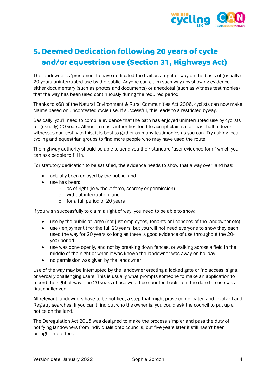

# <span id="page-4-0"></span>**5. Deemed Dedication following 20 years of cycle and/or equestrian use (Section 31, Highways Act)**

The landowner is 'presumed' to have dedicated the trail as a right of way on the basis of (usually) 20 years uninterrupted use by the public. Anyone can claim such ways by showing evidence, either documentary (such as photos and documents) or anecdotal (such as witness testimonies) that the way has been used continuously during the required period.

Thanks to s68 of the Natural Environment & Rural Communities Act 2006, cyclists can now make claims based on uncontested cycle use. If successful, this leads to a restricted byway.

Basically, you'll need to compile evidence that the path has enjoyed uninterrupted use by cyclists for (usually) 20 years. Although most authorities tend to accept claims if at least half a dozen witnesses can testify to this, it is best to gather as many testimonies as you can. Try asking local cycling and equestrian groups to find more people who may have used the route.

The highway authority should be able to send you their standard 'user evidence form' which you can ask people to fill in.

For statutory dedication to be satisfied, the evidence needs to show that a way over land has:

- actually been enjoyed by the public, and
- use has been:
	- o as of right (ie without force, secrecy or permission)
	- o without interruption, and
	- $\circ$  for a full period of 20 years

If you wish successfully to claim a right of way, you need to be able to show:

- use by the public at large (not just employees, tenants or licensees of the landowner etc)
- use ('enjoyment') for the full 20 years, but you will not need everyone to show they each used the way for 20 years so long as there is good evidence of use throughout the 20 year period
- use was done openly, and not by breaking down fences, or walking across a field in the middle of the night or when it was known the landowner was away on holiday
- no permission was given by the landowner

Use of the way may be interrupted by the landowner erecting a locked gate or 'no access' signs, or verbally challenging users. This is usually what prompts someone to make an application to record the right of way. The 20 years of use would be counted back from the date the use was first challenged.

All relevant landowners have to be notified, a step that might prove complicated and involve Land Registry searches. If you can't find out who the owner is, you could ask the council to put up a notice on the land.

The Deregulation Act 2015 was designed to make the process simpler and pass the duty of notifying landowners from individuals onto councils, but five years later it still hasn't been brought into effect.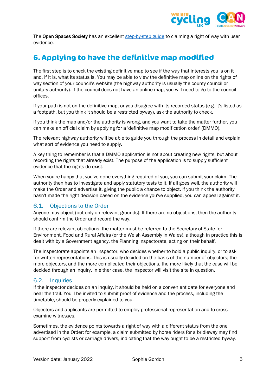

The Open Spaces Society has an excellent [step-by-step guide](https://www.oss.org.uk/need-to-know-more/information-hub/rights-of-way-applications-to-record-public-paths-after-twenty-years-use/) to claiming a right of way with user evidence.

## <span id="page-5-0"></span>**6. Applying to have the definitive map modified**

The first step is to check the existing definitive map to see if the way that interests you is on it and, if it is, what its status is. You may be able to view the definitive map online on the rights of way section of your council's website (the highway authority is usually the county council or unitary authority). If the council does not have an online map, you will need to go to the council offices.

If your path is not on the definitive map, or you disagree with its recorded status (e.g. it's listed as a footpath, but you think it should be a restricted byway), ask the authority to check.

If you think the map and/or the authority is wrong, and you want to take the matter further, you can make an official claim by applying for a 'definitive map modification order' (DMMO).

The relevant highway authority will be able to guide you through the process in detail and explain what sort of evidence you need to supply.

A key thing to remember is that a DMMO application is not about creating new rights, but about recording the rights that already exist. The purpose of the application is to supply sufficient evidence that the rights do exist.

When you're happy that you've done everything required of you, you can submit your claim. The authority then has to investigate and apply statutory tests to it. If all goes well, the authority will make the Order and advertise it, giving the public a chance to object. If you think the authority hasn't made the right decision based on the evidence you've supplied, you can appeal against it.

#### <span id="page-5-1"></span>6.1. Objections to the Order

Anyone may object (but only on relevant grounds). If there are no objections, then the authority should confirm the Order and record the way.

If there are relevant objections, the matter must be referred to the Secretary of State for Environment, Food and Rural Affairs (or the Welsh Assembly in Wales), although in practice this is dealt with by a Government agency, the Planning Inspectorate, acting on their behalf.

The Inspectorate appoints an inspector, who decides whether to hold a public inquiry, or to ask for written representations. This is usually decided on the basis of the number of objectors; the more objectors, and the more complicated their objections, the more likely that the case will be decided through an inquiry. In either case, the Inspector will visit the site in question.

#### <span id="page-5-2"></span>6.2. Inquiries

If the inspector decides on an inquiry, it should be held on a convenient date for everyone and near the trail. You'll be invited to submit proof of evidence and the process, including the timetable, should be properly explained to you.

Objectors and applicants are permitted to employ professional representation and to crossexamine witnesses.

Sometimes, the evidence points towards a right of way with a different status from the one advertised in the Order: for example, a claim submitted by horse riders for a bridleway may find support from cyclists or carriage drivers, indicating that the way ought to be a restricted byway.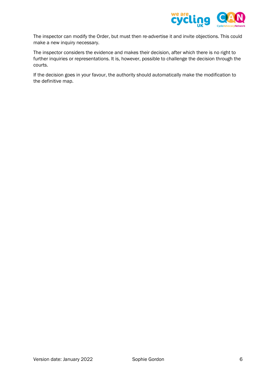

The inspector can modify the Order, but must then re-advertise it and invite objections. This could make a new inquiry necessary.

The inspector considers the evidence and makes their decision, after which there is no right to further inquiries or representations. It is, however, possible to challenge the decision through the courts.

If the decision goes in your favour, the authority should automatically make the modification to the definitive map.